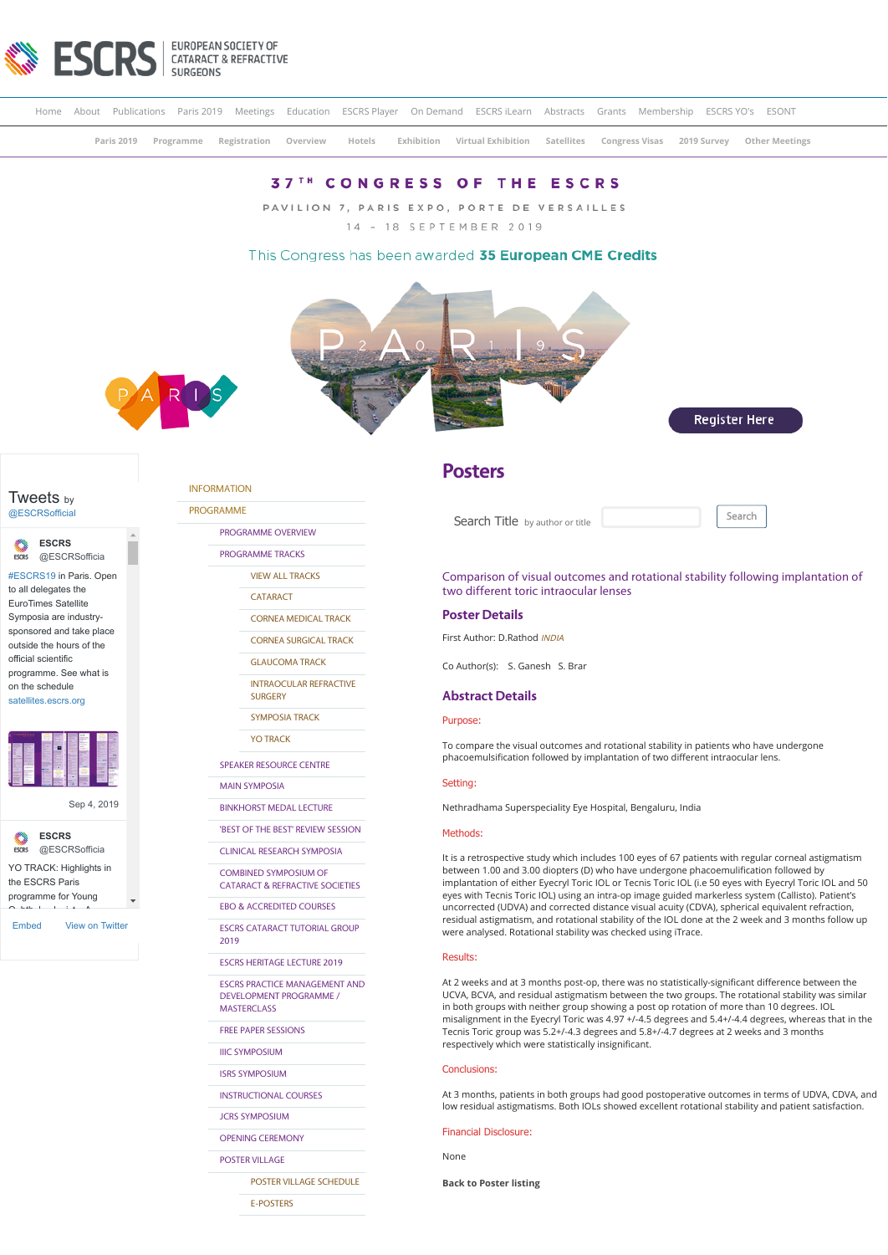

|                             |  |  |  |  |  |  |  | Home About Publications Paris 2019 Meetings Education ESCRS Player On Demand ESCRS iLearn Abstracts Grants Membership ESCRS YO's ESONT |  |  |  |  |  |
|-----------------------------|--|--|--|--|--|--|--|----------------------------------------------------------------------------------------------------------------------------------------|--|--|--|--|--|
|                             |  |  |  |  |  |  |  | Paris 2019 Programme Registration Overview Hotels Exhibition Virtual Exhibition Satellites Congress Visas 2019 Survey Other Meetings   |  |  |  |  |  |
| ---- --------- -- -- -- --- |  |  |  |  |  |  |  |                                                                                                                                        |  |  |  |  |  |

# **37<sup>TH</sup> CONGRESS OF THE ESCRS**

PAVILION 7, PARIS EXPO, PORTE DE VERSAILLES 14 - 18 SEPTEMBER 2019

## This Congress has been awarded 35 European CME Credits







[@ESCRSofficial](https://twitter.com/ESCRSofficial)

**ESCRS** [@ESCRSofficia](https://twitter.com/ESCRSofficial)

[#ESCRS19](https://twitter.com/hashtag/ESCRS19?src=hash) in Paris. Open to all delegates the EuroTimes Satellite Symposia are industrysponsored and take place outside the hours of the official scientific programme. See what is

on the schedule [satellites.escrs.org](https://t.co/3xG4psOegg)



[Sep 4, 2019](https://twitter.com/ESCRSofficial/status/1169282841303273472)



[Embed](https://publish.twitter.com/?url=https%3A%2F%2Ftwitter.com%2FESCRSofficial) [View on Twitter](https://twitter.com/ESCRSofficial)

[INFORMATION](https://www.escrs.org/paris2019/default.asp)

[PROGRAMME](https://www.escrs.org/paris2019/default.asp)

[PROGRAMME OVERVIEW](https://www.escrs.org/paris2019/programme/prog_overview.asp)

[PROGRAMME TRACKS](javascript:void(0);)

[VIEW ALL TRACKS](https://www.escrs.org/paris2019/programme/tracks.asp)

**[CATARACT](https://www.escrs.org/paris2019/programme/downloads/Tracks_Cataract_and_Refractive.pdf)** 

[CORNEA MEDICAL TRACK](https://www.escrs.org/paris2019/programme/downloads/Tracks_Cornea_Medical_Track.pdf)

[CORNEA SURGICAL TRACK](https://www.escrs.org/paris2019/programme/downloads/Tracks_Cornea_Surgical_Track.pdf) [GLAUCOMA TRACK](https://www.escrs.org/paris2019/programme/downloads/Track_Glaucoma.pdf)

[INTRAOCULAR REFRACTIVE](https://www.escrs.org/paris2019/programme/downloads/Tracks_Intraocular_Refractive_Surgery.pdf)

**SURGERY** 

[SYMPOSIA TRACK](https://www.escrs.org/paris2019/programme/downloads/Tracks_Symposia.pdf)

[YO TRACK](https://www.escrs.org/paris2019/programme/downloads/Tracks_Young_Ophthalmologists.pdf)

[SPEAKER RESOURCE CENTRE](https://2019escr.smarteventscloud.com/content/login.do)

[MAIN SYMPOSIA](https://www.escrs.org/paris2019/programme/main-symposia.asp)

[BINKHORST MEDAL LECTURE](https://www.escrs.org/paris2019/programme/Binkhorst_Medal_Lecture.asp) ['BEST OF THE BEST' REVIEW SESSION](https://www.escrs.org/paris2019/programme/best-of-the-best.asp)

[CLINICAL RESEARCH SYMPOSIA](https://www.escrs.org/paris2019/programme/clinical-research.asp)

COMBINED SYMPOSIUM OF [CATARACT & REFRACTIVE SOCIETIES](https://www.escrs.org/paris2019/programme/cscrs.asp)

[EBO & ACCREDITED COURSES](https://www.escrs.org/paris2019/programme/EBO&Accredited-Courses.asp)

[ESCRS CATARACT TUTORIAL GROUP](https://www.escrs.org/paris2019/programme/Cataract_Tutorial_Group.asp) 2019

[ESCRS HERITAGE LECTURE 2019](https://www.escrs.org/paris2019/programme/ESCRS_Heritage_Lecture_2019.asp)

[ESCRS PRACTICE MANAGEMENT AND](https://www.escrs.org/paris2019/programme/ESCRS-Practice-Management-and-Development-Programme.asp) DEVELOPMENT PROGRAMME / MASTERCLASS

[FREE PAPER SESSIONS](javascript:void(0);)

[IIIC SYMPOSIUM](https://www.escrs.org/paris2019/programme/IIIC_symposium.asp)

[ISRS SYMPOSIUM](https://www.escrs.org/paris2019/programme/ISRS.asp)

[INSTRUCTIONAL COURSES](https://www.escrs.org/paris2019/programme/instructional-courses.asp?day=I)

[JCRS SYMPOSIUM](https://www.escrs.org/paris2019/programme/JCRS-symposium.asp)

[OPENING CEREMONY](https://www.escrs.org/paris2019/programme/Opening_Ceremony.asp)

[POSTER VILLAGE](javascript:void(0);)

[POSTER VILLAGE SCHEDULE](https://www.escrs.org/paris2019/programme/poster-village-overview.asp)

[E-POSTERS](https://www.escrs.org/paris2019/programme/poster-overview.asp)

## **Posters**

Search Title by author or title **Search** 

Comparison of visual outcomes and rotational stability following implantation of two different toric intraocular lenses

## **Poster Details**

First Author: D.Rathod INDIA

Co Author(s): S. Ganesh S. Brar

## **Abstract Details**

#### Purpose:

To compare the visual outcomes and rotational stability in patients who have undergone phacoemulsification followed by implantation of two different intraocular lens.

## Setting:

Nethradhama Superspeciality Eye Hospital, Bengaluru, India

## Methods:

It is a retrospective study which includes 100 eyes of 67 patients with regular corneal astigmatism between 1.00 and 3.00 diopters (D) who have undergone phacoemulification followed by implantation of either Eyecryl Toric IOL or Tecnis Toric IOL (i.e 50 eyes with Eyecryl Toric IOL and 50 eyes with Tecnis Toric IOL) using an intra-op image guided markerless system (Callisto). Patient's uncorrected (UDVA) and corrected distance visual acuity (CDVA), spherical equivalent refraction, residual astigmatism, and rotational stability of the IOL done at the 2 week and 3 months follow up were analysed. Rotational stability was checked using iTrace.

#### Results:

At 2 weeks and at 3 months post-op, there was no statistically-significant difference between the UCVA, BCVA, and residual astigmatism between the two groups. The rotational stability was similar in both groups with neither group showing a post op rotation of more than 10 degrees. IOL misalignment in the Eyecryl Toric was 4.97 +/-4.5 degrees and 5.4+/-4.4 degrees, whereas that in the Tecnis Toric group was 5.2+/-4.3 degrees and 5.8+/-4.7 degrees at 2 weeks and 3 months respectively which were statistically insignificant.

### Conclusions:

At 3 months, patients in both groups had good postoperative outcomes in terms of UDVA, CDVA, and low residual astigmatisms. Both IOLs showed excellent rotational stability and patient satisfaction.

#### Financial Disclosure:

None

**[Back to Poster listing](https://www.escrs.org/paris2019/programme/poster-overview.asp)**